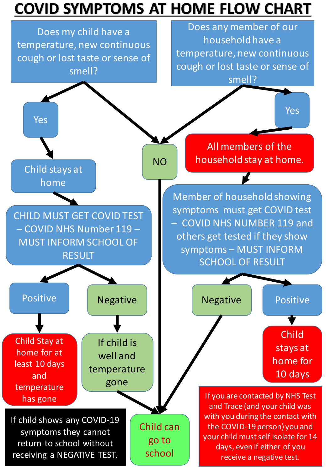## **COVID SYMPTOMS AT HOME FLOW CHART**